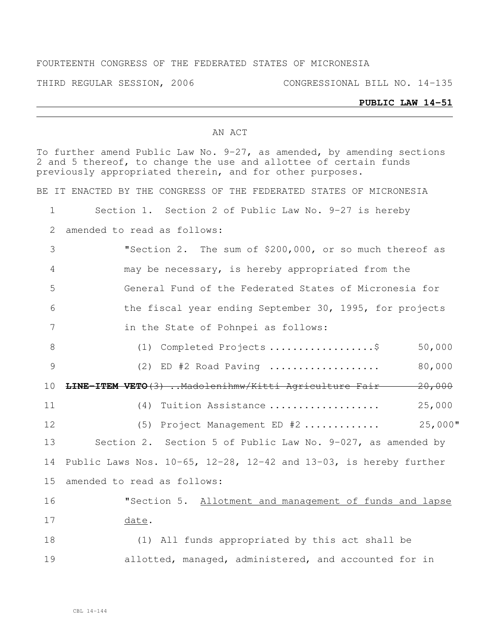### FOURTEENTH CONGRESS OF THE FEDERATED STATES OF MICRONESIA

THIRD REGULAR SESSION, 2006 CONGRESSIONAL BILL NO. 14-135

#### **PUBLIC LAW 14-51**

#### AN ACT

To further amend Public Law No. 9-27, as amended, by amending sections and 5 thereof, to change the use and allottee of certain funds previously appropriated therein, and for other purposes. BE IT ENACTED BY THE CONGRESS OF THE FEDERATED STATES OF MICRONESIA Section 1. Section 2 of Public Law No. 9-27 is hereby amended to read as follows: "Section 2. The sum of \$200,000, or so much thereof as may be necessary, is hereby appropriated from the General Fund of the Federated States of Micronesia for the fiscal year ending September 30, 1995, for projects in the State of Pohnpei as follows: 8 (1) Completed Projects .....................\$ 50,000 (2) ED #2 Road Paving ................... 80,000 **LINE-ITEM VETO**(3) ..Madolenihmw/Kitti Agriculture Fair 20,000 (4) Tuition Assistance ................... 25,000 (5) Project Management ED #2 ............. 25,000" Section 2. Section 5 of Public Law No. 9-027, as amended by Public Laws Nos. 10-65, 12-28, 12-42 and 13-03, is hereby further amended to read as follows: "Section 5. Allotment and management of funds and lapse date. (1) All funds appropriated by this act shall be allotted, managed, administered, and accounted for in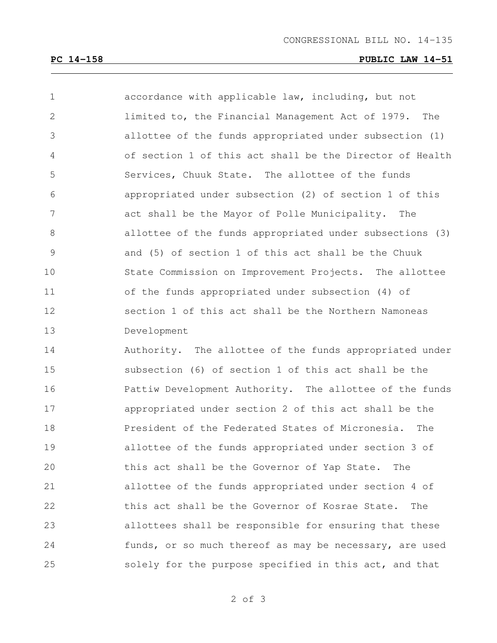## **PC 14-158 PUBLIC LAW 14-51**

| $\mathbf 1$    | accordance with applicable law, including, but not       |
|----------------|----------------------------------------------------------|
| 2              | limited to, the Financial Management Act of 1979. The    |
| 3              | allottee of the funds appropriated under subsection (1)  |
| $\overline{4}$ | of section 1 of this act shall be the Director of Health |
| 5              | Services, Chuuk State. The allottee of the funds         |
| 6              | appropriated under subsection (2) of section 1 of this   |
| 7              | act shall be the Mayor of Polle Municipality. The        |
| 8              | allottee of the funds appropriated under subsections (3) |
| 9              | and (5) of section 1 of this act shall be the Chuuk      |
| 10             | State Commission on Improvement Projects. The allottee   |
| 11             | of the funds appropriated under subsection (4) of        |
| 12             | section 1 of this act shall be the Northern Namoneas     |
| 13             | Development                                              |
| 14             | Authority. The allottee of the funds appropriated under  |
| 15             | subsection (6) of section 1 of this act shall be the     |
| 16             | Pattiw Development Authority. The allottee of the funds  |
| 17             | appropriated under section 2 of this act shall be the    |
| 18             | President of the Federated States of Micronesia.<br>The  |
| 19             | allottee of the funds appropriated under section 3 of    |
| 20             | this act shall be the Governor of Yap State.<br>The      |
| 21             | allottee of the funds appropriated under section 4 of    |
| 22             | this act shall be the Governor of Kosrae State.<br>The   |
| 23             | allottees shall be responsible for ensuring that these   |

solely for the purpose specified in this act, and that

funds, or so much thereof as may be necessary, are used

of 3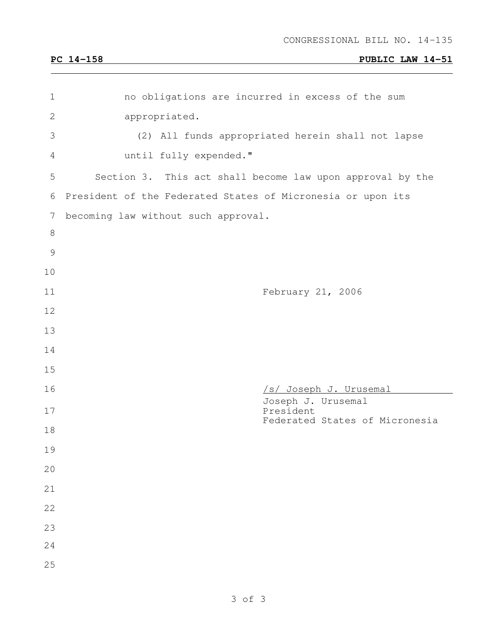# **PC 14-158 PUBLIC LAW 14-51**

| $\mathbf 1$    | no obligations are incurred in excess of the sum            |
|----------------|-------------------------------------------------------------|
| $\mathbf{2}$   | appropriated.                                               |
| 3              | (2) All funds appropriated herein shall not lapse           |
| 4              | until fully expended."                                      |
| 5              | Section 3. This act shall become law upon approval by the   |
| 6              | President of the Federated States of Micronesia or upon its |
| $\overline{7}$ | becoming law without such approval.                         |
| $\,8\,$        |                                                             |
| $\mathcal{G}$  |                                                             |
| 10             |                                                             |
| 11             | February 21, 2006                                           |
| 12             |                                                             |
| 13             |                                                             |
| 14             |                                                             |
| 15             |                                                             |
| 16             | /s/ Joseph J. Urusemal<br>Joseph J. Urusemal                |
| 17             | President<br>Federated States of Micronesia                 |
| 18             |                                                             |
| 19             |                                                             |
| 20             |                                                             |
| 21             |                                                             |
| 22             |                                                             |
| 23             |                                                             |
| 24             |                                                             |
| 25             |                                                             |